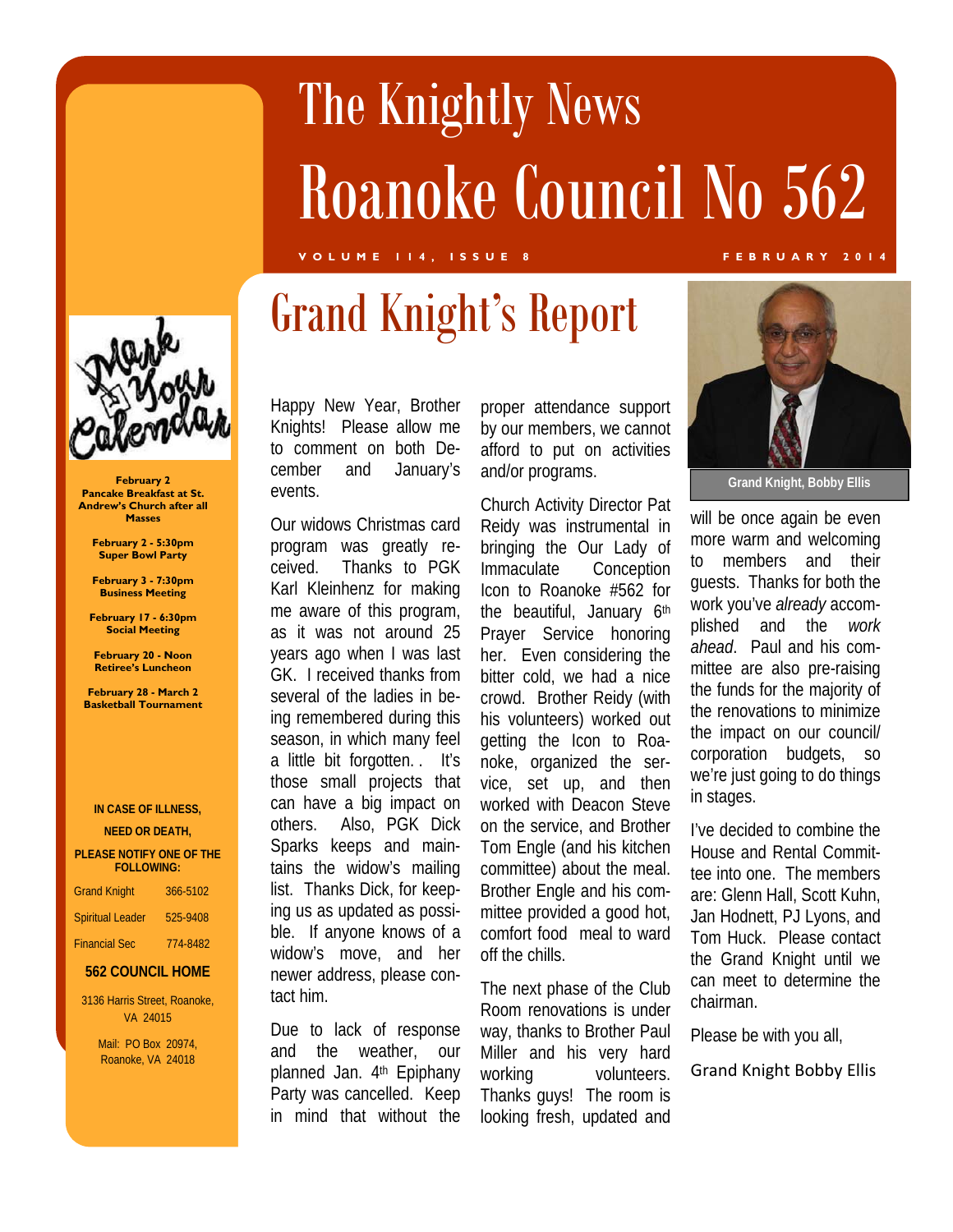# The Knightly News Roanoke Council No 562

**VOLUME 114, ISSUE 8 FEBRUARY 2014** 

## Grand Knight's Report



**February 2 Pancake Breakfast at St. Andrew's Church after all Masses** 

> **February 2 - 5:30pm Super Bowl Party**

**February 3 - 7:30pm Business Meeting** 

**February 17 - 6:30pm Social Meeting** 

**February 20 - Noon Retiree's Luncheon** 

**February 28 - March 2 Basketball Tournament** 

#### **IN CASE OF ILLNESS,**

**NEED OR DEATH,** 

#### **PLEASE NOTIFY ONE OF THE FOLLOWING:**

| <b>Grand Knight</b>     | 366-5102 |
|-------------------------|----------|
| <b>Spiritual Leader</b> | 525-9408 |
| <b>Financial Sec</b>    | 774-8482 |

#### **562 COUNCIL HOME**

3136 Harris Street, Roanoke, VA 24015

> Mail: PO Box 20974, Roanoke, VA 24018

Happy New Year, Brother Knights! Please allow me to comment on both December and January's events.

Our widows Christmas card program was greatly received. Thanks to PGK Karl Kleinhenz for making me aware of this program, as it was not around 25 years ago when I was last GK. I received thanks from several of the ladies in being remembered during this season, in which many feel a little bit forgotten. . It's those small projects that can have a big impact on others. Also, PGK Dick Sparks keeps and maintains the widow's mailing list. Thanks Dick, for keeping us as updated as possible. If anyone knows of a widow's move, and her newer address, please contact him.

Due to lack of response and the weather, our planned Jan. 4<sup>th</sup> Epiphany Party was cancelled. Keep in mind that without the

proper attendance support by our members, we cannot afford to put on activities and/or programs.

Church Activity Director Pat Reidy was instrumental in bringing the Our Lady of Immaculate Conception Icon to Roanoke #562 for the beautiful, January 6th Prayer Service honoring her. Even considering the bitter cold, we had a nice crowd. Brother Reidy (with his volunteers) worked out getting the Icon to Roanoke, organized the service, set up, and then worked with Deacon Steve on the service, and Brother Tom Engle (and his kitchen committee) about the meal. Brother Engle and his committee provided a good hot, comfort food meal to ward off the chills.

The next phase of the Club Room renovations is under way, thanks to Brother Paul Miller and his very hard working volunteers. Thanks guys! The room is looking fresh, updated and



**Grand Knight, Bobby Ellis** 

will be once again be even more warm and welcoming to members and their guests. Thanks for both the work you've *already* accomplished and the *work ahead*. Paul and his committee are also pre-raising the funds for the majority of the renovations to minimize the impact on our council/ corporation budgets, so we're just going to do things in stages.

I've decided to combine the House and Rental Committee into one. The members are: Glenn Hall, Scott Kuhn, Jan Hodnett, PJ Lyons, and Tom Huck. Please contact the Grand Knight until we can meet to determine the chairman.

Please be with you all,

Grand Knight Bobby Ellis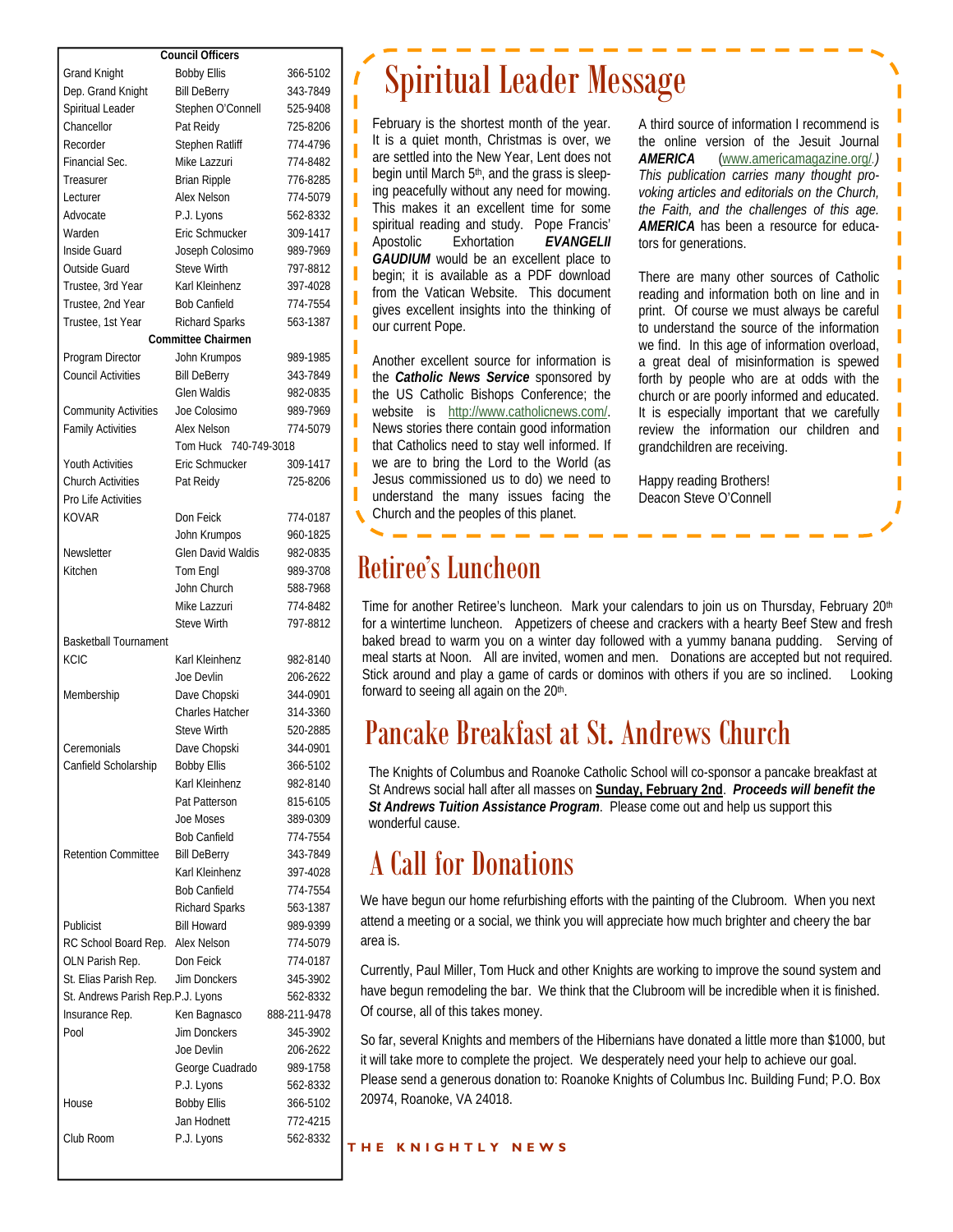| <b>Council Officers</b>                      |                           |              |
|----------------------------------------------|---------------------------|--------------|
| <b>Grand Knight</b>                          | <b>Bobby Ellis</b>        | 366-5102     |
| Dep. Grand Knight                            | <b>Bill DeBerry</b>       | 343-7849     |
| Spiritual Leader                             | Stephen O'Connell         | 525-9408     |
| Chancellor                                   | Pat Reidy                 | 725-8206     |
| Recorder                                     | Stephen Ratliff           | 774-4796     |
| Financial Sec.                               | Mike Lazzuri              | 774-8482     |
| Treasurer                                    | <b>Brian Ripple</b>       | 776-8285     |
| Lecturer                                     | Alex Nelson               | 774-5079     |
| Advocate                                     | P.J. Lyons                | 562-8332     |
| Warden                                       | Eric Schmucker            | 309-1417     |
| Inside Guard                                 | Joseph Colosimo           | 989-7969     |
| Outside Guard                                | <b>Steve Wirth</b>        | 797-8812     |
| Trustee, 3rd Year                            | Karl Kleinhenz            | 397-4028     |
| Trustee, 2nd Year                            | <b>Bob Canfield</b>       | 774-7554     |
| Trustee, 1st Year                            | Richard Sparks            | 563-1387     |
|                                              | <b>Committee Chairmen</b> |              |
| Program Director                             | John Krumpos              | 989-1985     |
| <b>Council Activities</b>                    | <b>Bill DeBerry</b>       | 343-7849     |
|                                              | <b>Glen Waldis</b>        | 982-0835     |
| <b>Community Activities</b>                  | Joe Colosimo              | 989-7969     |
| <b>Family Activities</b>                     | Alex Nelson               | 774-5079     |
|                                              | Tom Huck 740-749-3018     |              |
|                                              | Eric Schmucker            | 309-1417     |
| Youth Activities<br><b>Church Activities</b> | Pat Reidy                 |              |
|                                              |                           | 725-8206     |
| Pro Life Activities                          |                           |              |
| KOVAR                                        | Don Feick                 | 774-0187     |
|                                              | John Krumpos              | 960-1825     |
| Newsletter                                   | <b>Glen David Waldis</b>  | 982-0835     |
| Kitchen                                      | Tom Engl                  | 989-3708     |
|                                              | John Church               | 588-7968     |
|                                              | Mike Lazzuri              | 774-8482     |
|                                              | <b>Steve Wirth</b>        | 797-8812     |
| <b>Basketball Tournament</b>                 |                           |              |
| KCIC                                         | Karl Kleinhenz            | 982-8140     |
|                                              | Joe Devlin                | 206-2622     |
| Membership                                   | Dave Chopski              | 344-0901     |
|                                              | <b>Charles Hatcher</b>    | 314-3360     |
|                                              | <b>Steve Wirth</b>        | 520-2885     |
| Ceremonials                                  | Dave Chopski              | 344-0901     |
| Canfield Scholarship                         | <b>Bobby Ellis</b>        | 366-5102     |
|                                              | Karl Kleinhenz            | 982-8140     |
|                                              | Pat Patterson             | 815-6105     |
|                                              | Joe Moses                 | 389-0309     |
|                                              | <b>Bob Canfield</b>       | 774-7554     |
| <b>Retention Committee</b>                   | <b>Bill DeBerry</b>       | 343-7849     |
|                                              | Karl Kleinhenz            | 397-4028     |
|                                              | <b>Bob Canfield</b>       | 774-7554     |
|                                              | <b>Richard Sparks</b>     | 563-1387     |
| Publicist                                    | <b>Bill Howard</b>        | 989-9399     |
| RC School Board Rep.                         | Alex Nelson               | 774-5079     |
| OLN Parish Rep.                              | Don Feick                 | 774-0187     |
| St. Elias Parish Rep.                        | Jim Donckers              | 345-3902     |
| St. Andrews Parish Rep.P.J. Lyons            |                           | 562-8332     |
| Insurance Rep.                               | Ken Bagnasco              | 888-211-9478 |
| Pool                                         | <b>Jim Donckers</b>       | 345-3902     |
|                                              | Joe Devlin                | 206-2622     |
|                                              |                           |              |
|                                              | George Cuadrado           | 989-1758     |
|                                              | P.J. Lyons                | 562-8332     |
| House                                        | <b>Bobby Ellis</b>        | 366-5102     |
|                                              | Jan Hodnett               | 772-4215     |
| Club Room                                    | P.J. Lyons                | 562-8332     |

### Spiritual Leader Message

February is the shortest month of the year. It is a quiet month, Christmas is over, we are settled into the New Year, Lent does not begin until March 5<sup>th</sup>, and the grass is sleeping peacefully without any need for mowing. This makes it an excellent time for some spiritual reading and study. Pope Francis' Apostolic Exhortation *EVANGELII GAUDIUM* would be an excellent place to begin; it is available as a PDF download from the Vatican Website. This document gives excellent insights into the thinking of our current Pope.

Another excellent source for information is the *Catholic News Service* sponsored by the US Catholic Bishops Conference; the website is http://www.catholicnews.com/. News stories there contain good information that Catholics need to stay well informed. If we are to bring the Lord to the World (as Jesus commissioned us to do) we need to understand the many issues facing the Church and the peoples of this planet.

A third source of information I recommend is the online version of the Jesuit Journal *AMERICA* (www.americamagazine.org/*.) This publication carries many thought provoking articles and editorials on the Church, the Faith, and the challenges of this age. AMERICA* has been a resource for educators for generations.

There are many other sources of Catholic reading and information both on line and in print. Of course we must always be careful to understand the source of the information we find. In this age of information overload, a great deal of misinformation is spewed forth by people who are at odds with the church or are poorly informed and educated. It is especially important that we carefully review the information our children and grandchildren are receiving.

ı

Happy reading Brothers! Deacon Steve O'Connell

#### Retiree's Luncheon

Time for another Retiree's luncheon. Mark your calendars to join us on Thursday, February 20<sup>th</sup> for a wintertime luncheon. Appetizers of cheese and crackers with a hearty Beef Stew and fresh baked bread to warm you on a winter day followed with a yummy banana pudding. Serving of meal starts at Noon. All are invited, women and men. Donations are accepted but not required. Stick around and play a game of cards or dominos with others if you are so inclined. Looking forward to seeing all again on the 20<sup>th</sup>.

#### Pancake Breakfast at St. Andrews Church

The Knights of Columbus and Roanoke Catholic School will co-sponsor a pancake breakfast at St Andrews social hall after all masses on **Sunday, February 2nd**. *Proceeds will benefit the St Andrews Tuition Assistance Program*. Please come out and help us support this wonderful cause.

#### A Call for Donations

We have begun our home refurbishing efforts with the painting of the Clubroom. When you next attend a meeting or a social, we think you will appreciate how much brighter and cheery the bar area is.

Currently, Paul Miller, Tom Huck and other Knights are working to improve the sound system and have begun remodeling the bar. We think that the Clubroom will be incredible when it is finished. Of course, all of this takes money.

So far, several Knights and members of the Hibernians have donated a little more than \$1000, but it will take more to complete the project. We desperately need your help to achieve our goal. Please send a generous donation to: Roanoke Knights of Columbus Inc. Building Fund; P.O. Box 20974, Roanoke, VA 24018.

**THE KNIGHTLY NEWS**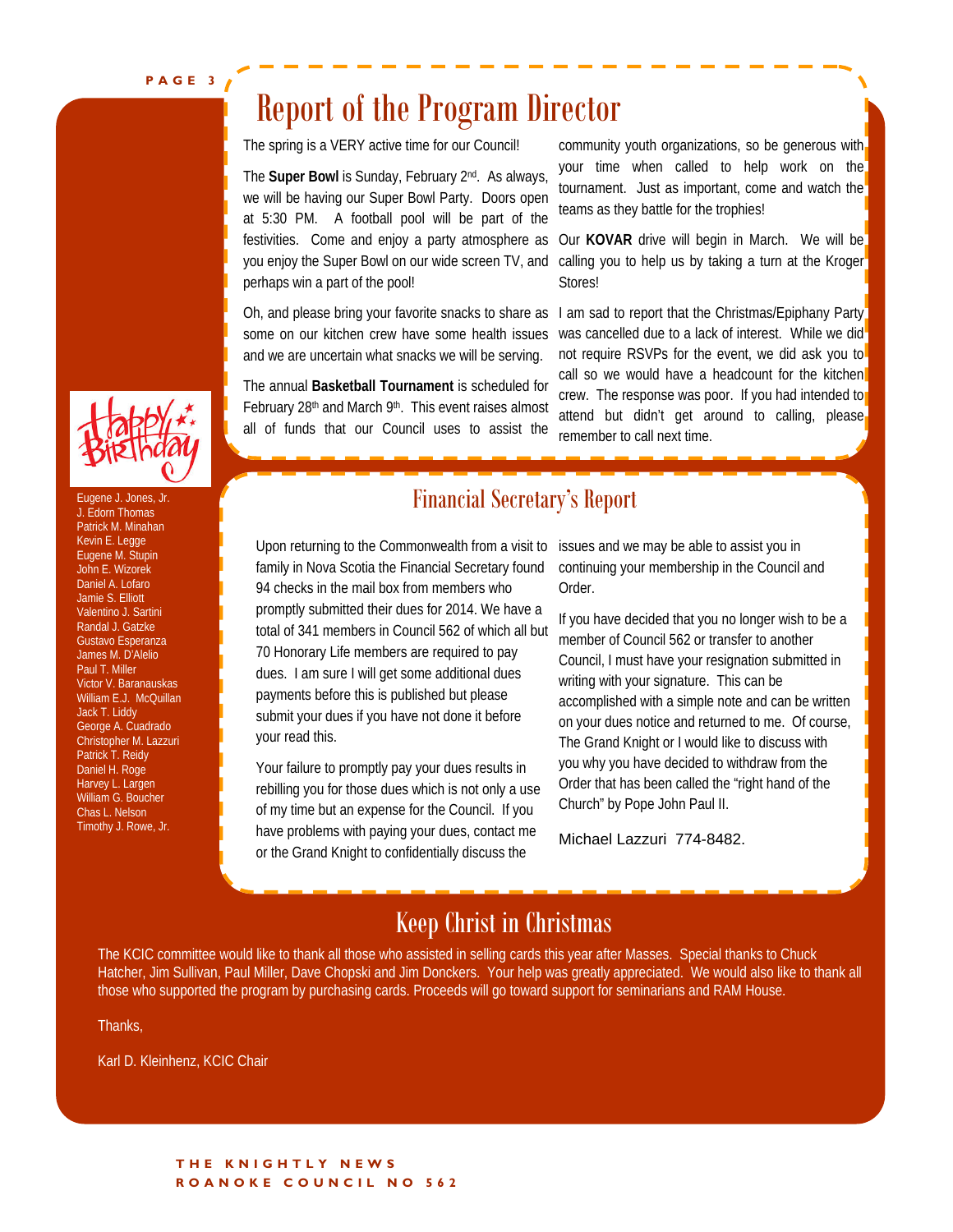**PAGE 3** 

### Report of the Program Director

The spring is a VERY active time for our Council!

The **Super Bowl** is Sunday, February 2nd. As always, we will be having our Super Bowl Party. Doors open at 5:30 PM. A football pool will be part of the festivities. Come and enjoy a party atmosphere as you enjoy the Super Bowl on our wide screen TV, and perhaps win a part of the pool!

some on our kitchen crew have some health issues and we are uncertain what snacks we will be serving.

The annual **Basketball Tournament** is scheduled for February 28<sup>th</sup> and March 9<sup>th</sup>. This event raises almost all of funds that our Council uses to assist the community youth organizations, so be generous with your time when called to help work on the tournament. Just as important, come and watch the teams as they battle for the trophies!

Our **KOVAR** drive will begin in March. We will be calling you to help us by taking a turn at the Kroger Stores!

Oh, and please bring your favorite snacks to share as 1 am sad to report that the Christmas/Epiphany Party was cancelled due to a lack of interest. While we did not require RSVPs for the event, we did ask you to call so we would have a headcount for the kitchen crew. The response was poor. If you had intended to attend but didn't get around to calling, please remember to call next time.



J. Edorn Thomas Patrick M. Minahan Kevin E. Legge Eugene M. Stupin John E. Wizorek Daniel A. Lofaro Jamie S. Elliott Valentino J. Sartini Randal J. Gatzke Gustavo Esperanza James M. D'Alelio Paul T. Miller Victor V. Baranauskas William E.J. McQuillan Jack T. Liddy George A. Cuadrado Christopher M. Lazzuri Patrick T. Reidy Daniel H. Roge Harvey L. Largen William G. Boucher Chas L. Nelson Timothy J. Rowe, Jr.

#### Eugene J. Jones, Jr. **Example 2. Jones, Jr. 2. International Secretary's Report**

Upon returning to the Commonwealth from a visit to family in Nova Scotia the Financial Secretary found 94 checks in the mail box from members who promptly submitted their dues for 2014. We have a total of 341 members in Council 562 of which all but 70 Honorary Life members are required to pay dues. I am sure I will get some additional dues payments before this is published but please submit your dues if you have not done it before your read this.

Your failure to promptly pay your dues results in rebilling you for those dues which is not only a use of my time but an expense for the Council. If you have problems with paying your dues, contact me or the Grand Knight to confidentially discuss the

issues and we may be able to assist you in continuing your membership in the Council and Order.

If you have decided that you no longer wish to be a member of Council 562 or transfer to another Council, I must have your resignation submitted in writing with your signature. This can be accomplished with a simple note and can be written on your dues notice and returned to me. Of course, The Grand Knight or I would like to discuss with you why you have decided to withdraw from the Order that has been called the "right hand of the Church" by Pope John Paul II.

Michael Lazzuri 774-8482.

#### Keep Christ in Christmas

The KCIC committee would like to thank all those who assisted in selling cards this year after Masses. Special thanks to Chuck Hatcher, Jim Sullivan, Paul Miller, Dave Chopski and Jim Donckers. Your help was greatly appreciated. We would also like to thank all those who supported the program by purchasing cards. Proceeds will go toward support for seminarians and RAM House.

Thanks,

Karl D. Kleinhenz, KCIC Chair